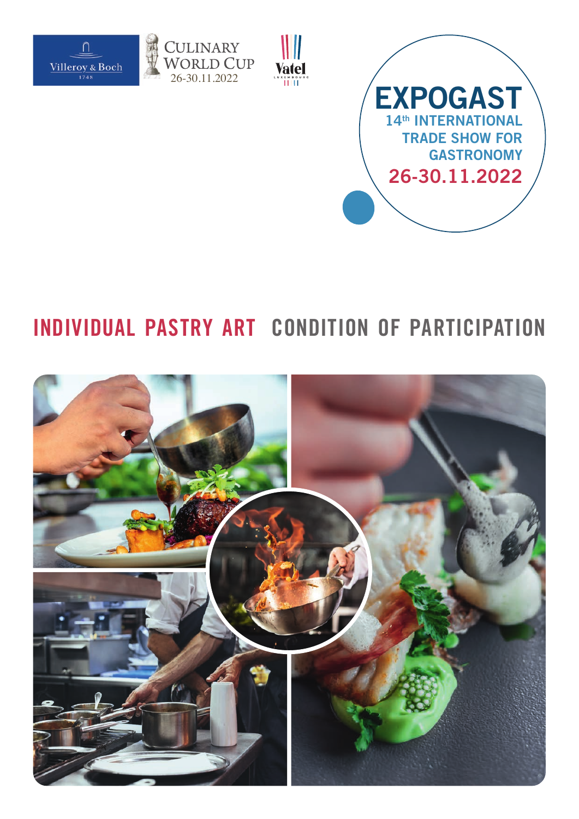





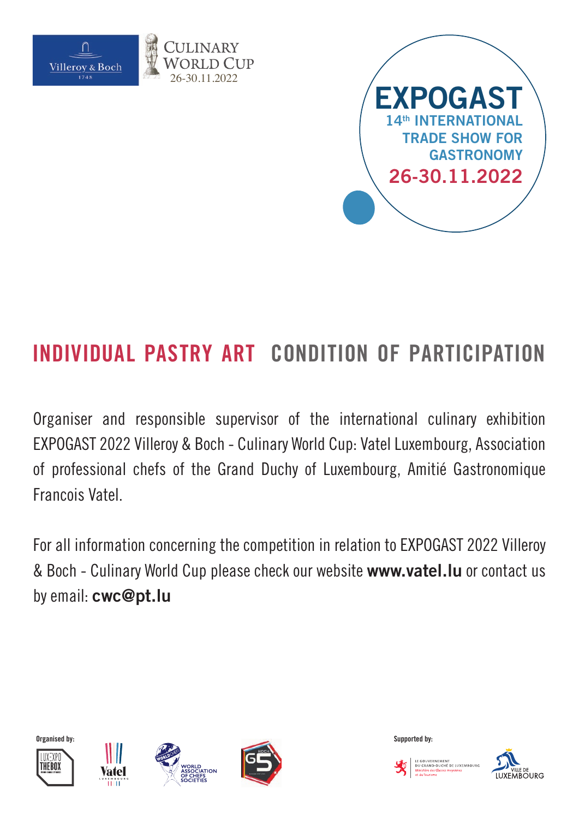



Organiser and responsible supervisor of the international culinary exhibition EXPOGAST 2022 Villeroy & Boch - Culinary World Cup: Vatel Luxembourg, Association of professional chefs of the Grand Duchy of Luxembourg, Amitié Gastronomique Francois Vatel.

For all information concerning the competition in relation to EXPOGAST 2022 Villeroy & Boch - Culinary World Cup please check our website **www.vatel.lu** or contact us by email: **cwc@pt.lu**











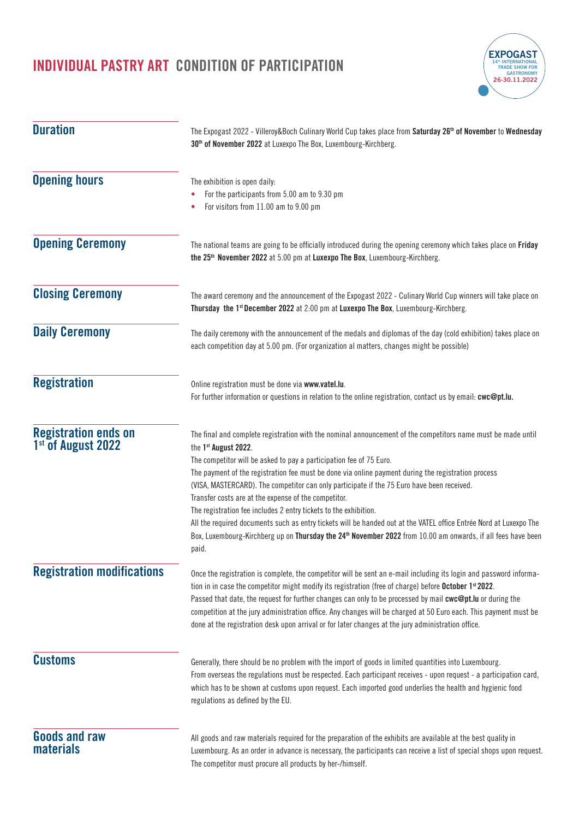

| <b>Duration</b>                                               | The Expogast 2022 - Villeroy&Boch Culinary World Cup takes place from Saturday 26 <sup>th</sup> of November to Wednesday<br>30 <sup>th</sup> of November 2022 at Luxexpo The Box, Luxembourg-Kirchberg.<br>The exhibition is open daily:<br>For the participants from 5.00 am to 9.30 pm<br>For visitors from 11.00 am to 9.00 pm                                                                                                                                                                                                                                                                                                                                                                                                                                                                       |  |
|---------------------------------------------------------------|---------------------------------------------------------------------------------------------------------------------------------------------------------------------------------------------------------------------------------------------------------------------------------------------------------------------------------------------------------------------------------------------------------------------------------------------------------------------------------------------------------------------------------------------------------------------------------------------------------------------------------------------------------------------------------------------------------------------------------------------------------------------------------------------------------|--|
| <b>Opening hours</b>                                          |                                                                                                                                                                                                                                                                                                                                                                                                                                                                                                                                                                                                                                                                                                                                                                                                         |  |
| <b>Opening Ceremony</b>                                       | The national teams are going to be officially introduced during the opening ceremony which takes place on Friday<br>the 25 <sup>th</sup> November 2022 at 5.00 pm at Luxexpo The Box, Luxembourg-Kirchberg.                                                                                                                                                                                                                                                                                                                                                                                                                                                                                                                                                                                             |  |
| <b>Closing Ceremony</b>                                       | The award ceremony and the announcement of the Expogast 2022 - Culinary World Cup winners will take place on<br>Thursday the 1 <sup>st</sup> December 2022 at 2:00 pm at Luxexpo The Box, Luxembourg-Kirchberg.                                                                                                                                                                                                                                                                                                                                                                                                                                                                                                                                                                                         |  |
| <b>Daily Ceremony</b>                                         | The daily ceremony with the announcement of the medals and diplomas of the day (cold exhibition) takes place on<br>each competition day at 5.00 pm. (For organization al matters, changes might be possible)                                                                                                                                                                                                                                                                                                                                                                                                                                                                                                                                                                                            |  |
| <b>Registration</b>                                           | Online registration must be done via www.vatel.lu.<br>For further information or questions in relation to the online registration, contact us by email: cwc@pt.lu.                                                                                                                                                                                                                                                                                                                                                                                                                                                                                                                                                                                                                                      |  |
| <b>Registration ends on</b><br>1 <sup>st</sup> of August 2022 | The final and complete registration with the nominal announcement of the competitors name must be made until<br>the 1st August 2022.<br>The competitor will be asked to pay a participation fee of 75 Euro.<br>The payment of the registration fee must be done via online payment during the registration process<br>(VISA, MASTERCARD). The competitor can only participate if the 75 Euro have been received.<br>Transfer costs are at the expense of the competitor.<br>The registration fee includes 2 entry tickets to the exhibition.<br>All the required documents such as entry tickets will be handed out at the VATEL office Entrée Nord at Luxexpo The<br>Box, Luxembourg-Kirchberg up on Thursday the 24 <sup>th</sup> November 2022 from 10.00 am onwards, if all fees have been<br>paid. |  |
| <b>Registration modifications</b>                             | Once the registration is complete, the competitor will be sent an e-mail including its login and password informa-<br>tion in in case the competitor might modify its registration (free of charge) before October 1st 2022.<br>Passed that date, the request for further changes can only to be processed by mail cwc@pt.lu or during the<br>competition at the jury administration office. Any changes will be charged at 50 Euro each. This payment must be<br>done at the registration desk upon arrival or for later changes at the jury administration office.                                                                                                                                                                                                                                    |  |
| <b>Customs</b>                                                | Generally, there should be no problem with the import of goods in limited quantities into Luxembourg.<br>From overseas the regulations must be respected. Each participant receives - upon request - a participation card,<br>which has to be shown at customs upon request. Each imported good underlies the health and hygienic food<br>regulations as defined by the EU.                                                                                                                                                                                                                                                                                                                                                                                                                             |  |
| <b>Goods and raw</b><br><b>materials</b>                      | All goods and raw materials required for the preparation of the exhibits are available at the best quality in<br>Luxembourg. As an order in advance is necessary, the participants can receive a list of special shops upon request.<br>The competitor must procure all products by her-/himself.                                                                                                                                                                                                                                                                                                                                                                                                                                                                                                       |  |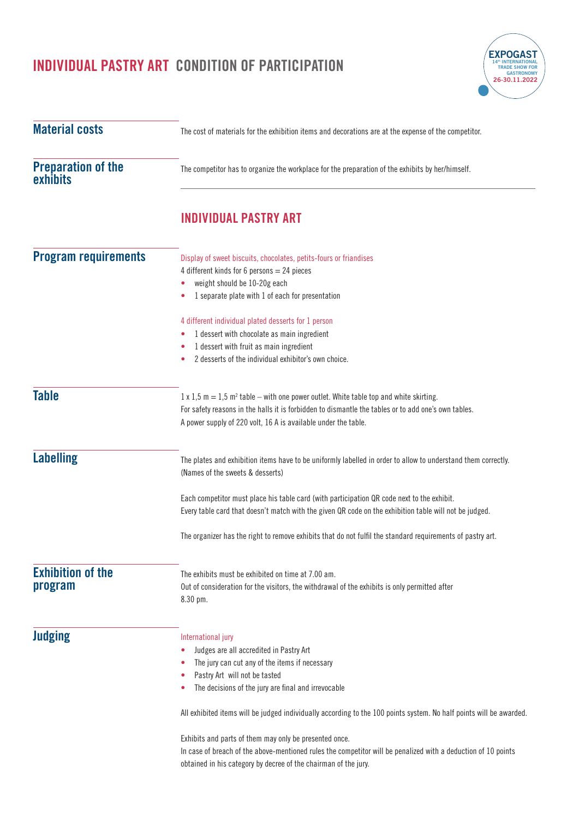| <b>Material costs</b>                 | The cost of materials for the exhibition items and decorations are at the expense of the competitor.                                                                                                                                                                                                                                                                                                                                                                                                                                                                              |  |
|---------------------------------------|-----------------------------------------------------------------------------------------------------------------------------------------------------------------------------------------------------------------------------------------------------------------------------------------------------------------------------------------------------------------------------------------------------------------------------------------------------------------------------------------------------------------------------------------------------------------------------------|--|
| <b>Preparation of the</b><br>exhibits | The competitor has to organize the workplace for the preparation of the exhibits by her/himself.                                                                                                                                                                                                                                                                                                                                                                                                                                                                                  |  |
|                                       | <b>INDIVIDUAL PASTRY ART</b>                                                                                                                                                                                                                                                                                                                                                                                                                                                                                                                                                      |  |
| <b>Program requirements</b>           | Display of sweet biscuits, chocolates, petits-fours or friandises<br>4 different kinds for 6 persons = 24 pieces<br>weight should be 10-20g each<br>1 separate plate with 1 of each for presentation<br>4 different individual plated desserts for 1 person<br>1 dessert with chocolate as main ingredient<br>1 dessert with fruit as main ingredient<br>2 desserts of the individual exhibitor's own choice.<br>٠                                                                                                                                                                |  |
| <b>Table</b>                          | $1 \times 1.5$ m = 1.5 m <sup>2</sup> table – with one power outlet. White table top and white skirting.<br>For safety reasons in the halls it is forbidden to dismantle the tables or to add one's own tables.<br>A power supply of 220 volt, 16 A is available under the table.                                                                                                                                                                                                                                                                                                 |  |
| <b>Labelling</b>                      | The plates and exhibition items have to be uniformly labelled in order to allow to understand them correctly.<br>(Names of the sweets & desserts)<br>Each competitor must place his table card (with participation QR code next to the exhibit.<br>Every table card that doesn't match with the given QR code on the exhibition table will not be judged.<br>The organizer has the right to remove exhibits that do not fulfil the standard requirements of pastry art.                                                                                                           |  |
| <b>Exhibition of the</b><br>program   | The exhibits must be exhibited on time at 7.00 am.<br>Out of consideration for the visitors, the withdrawal of the exhibits is only permitted after<br>8.30 pm.                                                                                                                                                                                                                                                                                                                                                                                                                   |  |
| <b>Judging</b>                        | International jury<br>Judges are all accredited in Pastry Art<br>٠<br>The jury can cut any of the items if necessary<br>Pastry Art will not be tasted<br>The decisions of the jury are final and irrevocable<br>All exhibited items will be judged individually according to the 100 points system. No half points will be awarded.<br>Exhibits and parts of them may only be presented once.<br>In case of breach of the above-mentioned rules the competitor will be penalized with a deduction of 10 points<br>obtained in his category by decree of the chairman of the jury. |  |

**EXPOGAST 14th INTERNATIONAL TRADE SHOW FOR GASTRONOMY 26-30.11.2022**